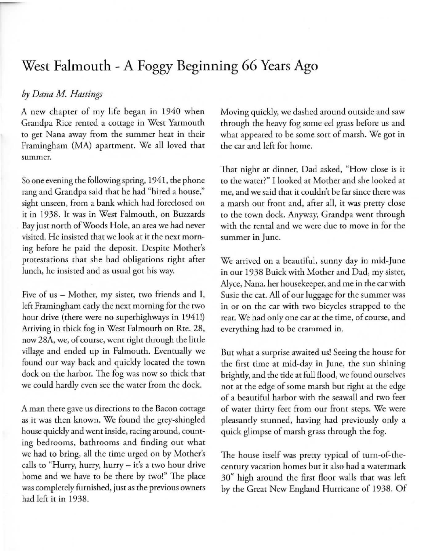## West **Falmouth** - A Foggy **Beginning** 66 Years Ago

## *by Dana M. Hastings*

A new chapter of my life began in 1940 when Grandpa Rice rented a cottage in West Yarmouth **to get Nana away from the summer heat in their**  Framingham (MA) apartment. We all loved that **summer.** 

So one evening the following spring, 194 1, the phone rang and Grandpa said rhat he had "hired a house," sighr unseen, from a bank which had foreclosed on it in 1938. It was in West Falmouth, on Buzzards Bay just north of Woods Hole, an area we had never **visited. He insisted that we look at it the next morn**ing before he paid rhe deposit. Despite Mother's protestations that she had obligations right after lunch, he insisted and as usual got his way.

Five of us - Mother, my sister, two friends and I, left Framingham early the next morning for the two hour drive (there were no superhighways in 1941!) Arriving in thick fog in West Falmouth on Rte. 28, now 28A, we, of course, went right through the little village and ended up in Falmouth. Eventually we found our way back and quickly located the town dock on rhe harbor. The fog was now so thick that we could hardly even see the water from rhe dock.

**A man there gave us directions to the Bacon cottage**  as it was then known. We found the grey-shingled house quickly and went inside, racing around, counting bedrooms, bathrooms and finding our what we had to bring, all the time urged on by Mother's calls to "Hurry, hurry, hurry - it's a two hour drive home and we have to be there by two!" The place was completely furnished, just as the previous owners had lefr it in 1938.

Moving quickly, we dashed around outside and saw through the heavy fog some eel grass before us and what appeared to be some sort of marsh. We got in rhe car and left for home.

That night at dinner, Dad asked, "How close is it to the water?" I looked ar Morher and she looked at me, and we said that it couldn't be far since there was a marsh out front and, after all, it was pretty close to the town dock. Anyway, Grandpa went through with the rental and we were due to move in for the summer in June.

We arrived on a beautiful, sunny day in mid-June in our 1938 Buick with Morher and Dad, my sister, *Alyce,* Nana, her housekeeper, and me in rhe car with Susie the cat. All of our luggage for the summer was in or on rhe car with two bicycles strapped to the rear. We had only one car at the time, of course, and everything had to be crammed in.

But what a surprise awaited us! Seeing the house for the first time at mid-day in June, the sun shining brightly, and rhe tide at full flood, we found ourselves not at the edge of some marsh but right at the edge of a beautiful harbor with the seawall and two feet of water thirty feet from our front steps. We were pleasantly stunned, having had previously only a quick glimpse of marsh grass through the fog.

The house itself was pretry typical of rurn-of-the**century vacatio n homes but it also had a watermark**  30" high around the first floor walls that was left by the Great New England Hurricane of 1938. Of